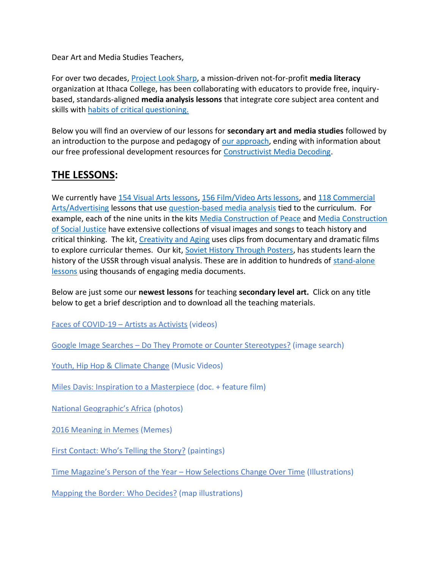Dear Art and Media Studies Teachers,

For over two decades, [Project Look Sharp,](https://www.projectlooksharp.org/) a mission-driven not-for-profit **media literacy** organization at Ithaca College, has been collaborating with educators to provide free, inquirybased, standards-aligned **media analysis lessons** that integrate core subject area content and skills with [habits of critical questioning.](https://projectlooksharp.org/Resources%202/Key-Questions-for-Decoding%20Dec-21.pdf)

Below you will find an overview of our lessons for **secondary art and media studies** followed by an introduction to the purpose and pedagogy of [our approach,](https://projectlooksharp.org/our-approach.php) ending with information about our free professional development resources for [Constructivist Media Decoding.](https://projectlooksharp.org/our-approach.php#Constructivist)

## **THE LESSONS:**

We currently hav[e 154 Visual Arts lessons,](https://www.projectlooksharp.org/search-result.php?limit=10&search%5Bkeyword%5D=&search%5Bcategory%5D=lessons&search_filter%5Bresource_subject_area%5D%5B%5D=visual+arts&search_filter%5Bresource_grade_level%5D%5B%5D=middle+school&search_filter%5Bresource_grade_level%5D%5B%5D=high+school) [156 Film/Video Arts lessons,](https://projectlooksharp.org/search-result.php?limit=10&search%5Bkeyword%5D=&search%5Bcategory%5D=all&search_filter%5Bresource_subject_area%5D%5B%5D=film%2Fvideo+arts) and 118 Commercial [Arts/Advertising](https://www.projectlooksharp.org/search-result.php?limit=10&search%5Bkeyword%5D=&search%5Bcategory%5D=lessons&search_filter%5Bresource_subject_area%5D%5B%5D=commercial+arts%2Fadvertising&search_filter%5Bresource_grade_level%5D%5B%5D=middle+school&search_filter%5Bresource_grade_level%5D%5B%5D=high+school) lessons that use [question-based media analysis](https://projectlooksharp.org/our-approach.php#Constructivist) tied to the curriculum. For example, each of the nine units in the kits [Media Construction of Peace](https://projectlooksharp.org/front_end.php?kit_id=6) and [Media Construction](https://projectlooksharp.org/front_end.php?kit_id=7)  [of Social Justice](https://projectlooksharp.org/front_end.php?kit_id=7) have extensive collections of visual images and songs to teach history and critical thinking. The kit, [Creativity and Aging](https://projectlooksharp.org/front_end.php?kit_id=14) uses clips from documentary and dramatic films to explore curricular themes. Our kit, [Soviet History Through Posters,](https://projectlooksharp.org/front_end.php?kit_id=23) has students learn the history of the USSR through visual analysis. These are in addition to hundreds of stand-alone [lessons](https://www.projectlooksharp.org/search-result.php) using thousands of engaging media documents.

Below are just some our **newest lessons** for teaching **secondary level art.** Click on any title below to get a brief description and to download all the teaching materials.

Faces of [COVID-19](https://www.projectlooksharp.org/front_end_resource.php?resource_id=522) – Artists as Activists (videos)

Google Image Searches – Do They Promote or Counter [Stereotypes?](https://www.projectlooksharp.org/front_end_resource.php?resource_id=483) (image search)

Youth, Hip Hop & [Climate](https://projectlooksharp.org/front_end_resource.php?resource_id=425) Change (Music Videos)

Miles Davis: Inspiration to a [Masterpiece](https://projectlooksharp.org/front_end_resource.php?resource_id=559) (doc. + feature film)

National [Geographic's](https://www.projectlooksharp.org/front_end_resource.php?resource_id=443) Africa (photos)

2016 [Meaning](https://www.projectlooksharp.org/front_end_resource.php?resource_id=394) in Memes (Memes)

First [Contact:](https://www.projectlooksharp.org/front_end_resource.php?resource_id=494) Who's Telling the Story? (paintings)

Time [Magazine's](https://www.projectlooksharp.org/front_end_resource.php?resource_id=516) Person of the Year – How Selections Change Over Time (Illustrations)

Mapping the Border: Who [Decides?](https://www.projectlooksharp.org/front_end_resource.php?resource_id=457) (map illustrations)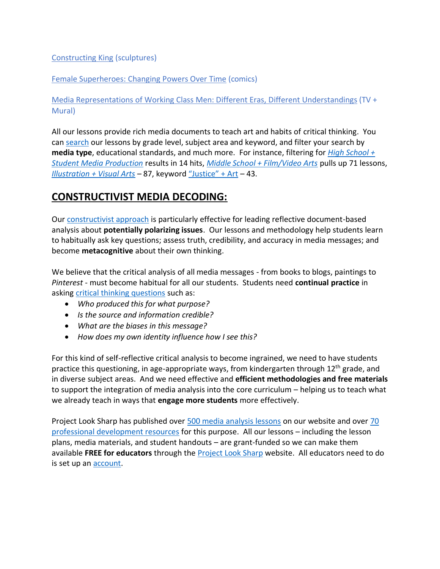## [Constructing](https://www.projectlooksharp.org/front_end_resource.php?resource_id=257) King (sculptures)

Female [Superheroes:](https://www.projectlooksharp.org/front_end_resource.php?resource_id=514) Changing Powers Over Time (comics)

Media [Representations](https://www.projectlooksharp.org/front_end_resource.php?resource_id=534) of Working Class Men: Different Eras, Different Understandings (TV + Mural)

All our lessons provide rich media documents to teach art and habits of critical thinking. You can [search](https://projectlooksharp.org/search-result.php?search%5Bcategory%5D=all&search%5Bkeyword%5D=&search_filter%5Bresource_subject_area%5D%5B%5D=&search_filter%5Bresource_grade_level%5D%5B%5D=) our lessons by grade level, subject area and keyword, and filter your search by **media type**, educational standards, and much more. For instance, filtering for *[High School +](https://projectlooksharp.org/search-result.php?limit=10&search%5Bkeyword%5D=&search%5Bcategory%5D=all&search_filter%5Bresource_subject_area%5D%5B%5D=student+media+production&search_filter%5Bresource_grade_level%5D%5B%5D=high+school)  [Student Media Production](https://projectlooksharp.org/search-result.php?limit=10&search%5Bkeyword%5D=&search%5Bcategory%5D=all&search_filter%5Bresource_subject_area%5D%5B%5D=student+media+production&search_filter%5Bresource_grade_level%5D%5B%5D=high+school)* results in 14 hits, *[Middle School + Film/Video Arts](https://projectlooksharp.org/search-result.php?limit=10&search%5Bkeyword%5D=&search%5Bcategory%5D=all&search_filter%5Bresource_subject_area%5D%5B%5D=film%2Fvideo+arts&search_filter%5Bresource_grade_level%5D%5B%5D=middle+school)* pulls up 71 lessons, *[Illustration + Visual Arts](https://projectlooksharp.org/search-result.php?limit=10&search%5Bkeyword%5D=&search%5Bcategory%5D=all&search_filter%5Bresource_subject_area%5D%5B%5D=visual+arts&search_filter%5Bresource_entry_media_type%5D%5B%5D=illustration)* – 87, keyword ["Justice" + Art](https://projectlooksharp.org/search-result.php?limit=10&search%5Bkeyword%5D=Justice&search%5Bcategory%5D=lessons&search_filter%5Bresource_subject_area%5D%5B%5D=Arts%2FMusic%2FMedia+Arts) – 43.

## **CONSTRUCTIVIST MEDIA DECODING:**

Our [constructivist approach](https://projectlooksharp.org/our-approach.php) is particularly effective for leading reflective document-based analysis about **potentially polarizing issues**. Our lessons and methodology help students learn to habitually ask key questions; assess truth, credibility, and accuracy in media messages; and become **metacognitive** about their own thinking.

We believe that the critical analysis of all media messages - from books to blogs, paintings to *Pinterest* - must become habitual for all our students. Students need **continual practice** in asking [critical thinking questions](https://projectlooksharp.org/Resources%202/Project%20Look%20Sharp%20Key%20Questions%20Both.pdf) such as:

- *Who produced this for what purpose?*
- *Is the source and information credible?*
- *What are the biases in this message?*
- *How does my own identity influence how I see this?*

For this kind of self-reflective critical analysis to become ingrained, we need to have students practice this questioning, in age-appropriate ways, from kindergarten through 12<sup>th</sup> grade, and in diverse subject areas. And we need effective and **efficient methodologies and free materials** to support the integration of media analysis into the core curriculum – helping us to teach what we already teach in ways that **engage more students** more effectively.

Project Look Sharp has published over [500 media analysis lessons](https://www.projectlooksharp.org/search-result.php?search%5Bkeyword%5D=&search%5Bcategory%5D=lessons) on our website and over 70 [professional development resources](https://www.projectlooksharp.org/search-result.php?search%5Bkeyword%5D=&search%5Bcategory%5D=PD) for this purpose. All our lessons – including the lesson plans, media materials, and student handouts – are grant-funded so we can make them available **FREE for educators** through the [Project Look Sharp](https://projectlooksharp.org/index.php) website. All educators need to do is set up a[n account.](https://projectlooksharp.org/register.php)